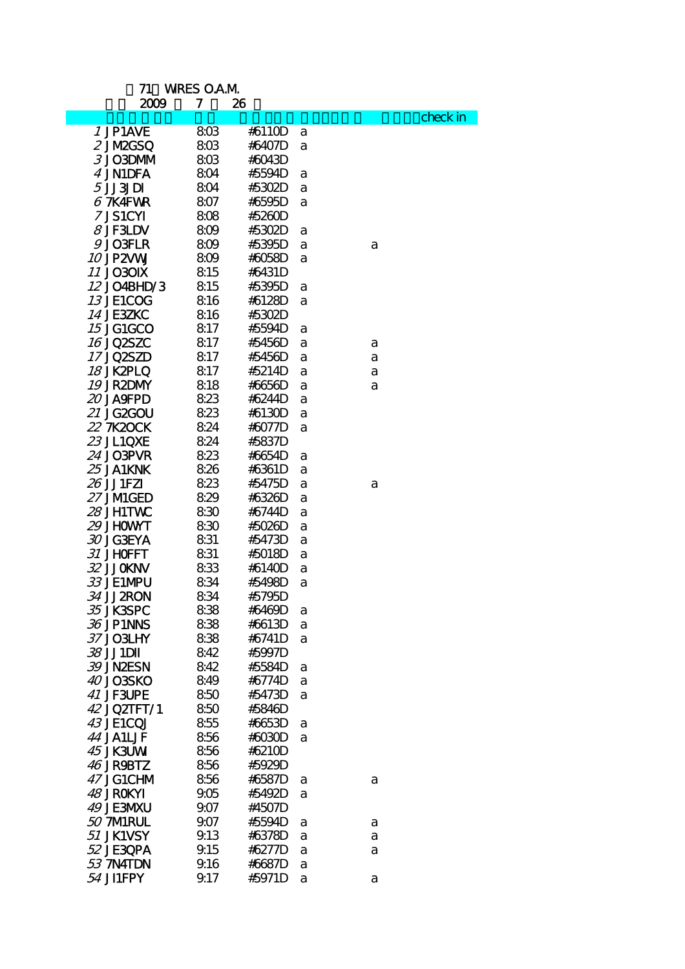## 71 WRES O.A.M

1 2009 7 26

| 2W7              | ,    | 40     |   |   |          |
|------------------|------|--------|---|---|----------|
|                  |      |        |   |   | check in |
| 1 JP1AVE         | 803  | #611CD | a |   |          |
| 2 JM2GSQ         | 803  | #6407D | a |   |          |
| 3 JO3DMM         | 803  | #6043D |   |   |          |
| 4 JN1DFA         | 804  | #5594D | а |   |          |
| 5JJ3JDI          | 804  | #5302D | a |   |          |
| $67K4$ FWR       | 807  | #6595D | a |   |          |
| 7 JS1CYI         | 808  | #5260D |   |   |          |
| $8$ JF3LDV       | 809  | #5302D | а |   |          |
| 9JO3FLR          | 809  | #5395D | a | a |          |
| 10 JP2VW         | 809  | #6058D | a |   |          |
| <b>11 JO30IX</b> | 815  | #6431D |   |   |          |
| 12 JO4BHD/3      | 815  | #5395D | a |   |          |
| 13 JE1COG        | 816  | #6128D | a |   |          |
| <b>14 JE3ZKC</b> | 816  | #5302D |   |   |          |
| <b>15 JG1GCO</b> | 817  | #5594D | a |   |          |
| 16 JQ2SZC        | 817  | #5456D | a | a |          |
| 17 JQ2SZD        | 817  | #5456D | a | a |          |
| 18 JK2PLQ        | 817  | #5214D | a | a |          |
| 19 JR2DMY        | 818  | #6656D |   |   |          |
| <i>20</i> JASFPD | 823  | #6244D | a | a |          |
| <i>21</i> JG2GOU |      |        | a |   |          |
|                  | 823  | #6130D | a |   |          |
| 22 7K20CK        | 824  | #6077D | a |   |          |
| <i>23</i> JL1QXE | 824  | #5837D |   |   |          |
| 24 JO3PVR        | 823  | #6654D | а |   |          |
| <i>25</i> JA1KNK | 826  | #6361D | a |   |          |
| 26 JJ1FZI        | 823  | #5475D | a | a |          |
| 27 JMIGED        | 829  | #6326D | a |   |          |
| 28 JH1TWC        | 830  | #6744D | a |   |          |
| <i>29</i> JHOWNT | 830  | #5026D | a |   |          |
| 30 JG3EYA        | 831  | #5473D | a |   |          |
| 31 JHOFFT        | 831  | #5018D | a |   |          |
| 32 JJCKNV        | 833  | #6140D | a |   |          |
| 33 JE1MPU        | 834  | #5498D | a |   |          |
| 34 JJ 2RON       | 834  | #5795D |   |   |          |
| 35 JK3SPC        | 838  | #6469D | a |   |          |
| 36 JP1NNS        | 838  | #6613D | а |   |          |
| 37 JO3LHY        | 838  | #6741D | a |   |          |
| 38 JJ1DII        | 842  | #5997D |   |   |          |
| 39 JNÆSN         | 842  | #5584D | a |   |          |
| 40 JO3SKO        | 849  | #6774D | a |   |          |
| 41 JF3UPE        | 850  | #5473D | a |   |          |
| 42 JQ2TFT/1      | 850  | #5846D |   |   |          |
| 43 JE1CQJ        | 855  | #6653D | a |   |          |
| 44 JA1LJF        | 856  | #6030D | a |   |          |
| 45 JK3UW         | 856  | #6210D |   |   |          |
| 46 JR9BTZ        | 856  | #5929D |   |   |          |
| 47 JG1CHM        | 856  | #6587D | a | a |          |
| 48 JROKYI        | 905  | #5492D | a |   |          |
| 49 JE3MXU        | 9.07 | #4507D |   |   |          |
| 50 7MRUL         | 9.07 | #5594D |   |   |          |
| 51 JK1VSY        | 9.13 | #6378D | a | a |          |
|                  |      | #6277D | а | a |          |
| 52 JE30PA        | 9.15 |        | a | a |          |
| 53 7N4TDN        | 9.16 | #6687D | a |   |          |
| 54 JI1FPY        | 9.17 | #5971D | a | a |          |